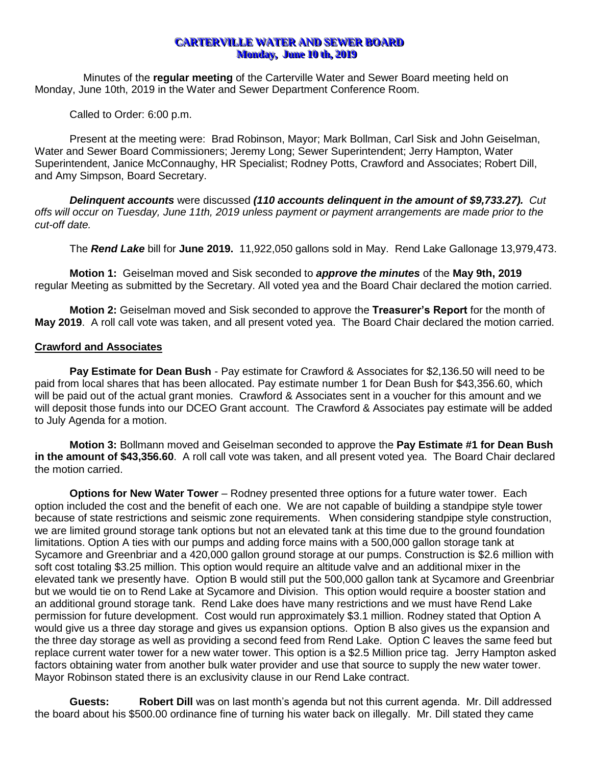## **CARTERVILLE WATER AND SEWER BOARD Monday, June 10 th, 2019**

Minutes of the **regular meeting** of the Carterville Water and Sewer Board meeting held on Monday, June 10th, 2019 in the Water and Sewer Department Conference Room.

Called to Order: 6:00 p.m.

Present at the meeting were: Brad Robinson, Mayor; Mark Bollman, Carl Sisk and John Geiselman, Water and Sewer Board Commissioners; Jeremy Long; Sewer Superintendent; Jerry Hampton, Water Superintendent, Janice McConnaughy, HR Specialist; Rodney Potts, Crawford and Associates; Robert Dill, and Amy Simpson, Board Secretary.

*Delinquent accounts* were discussed *(110 accounts delinquent in the amount of \$9,733.27). Cut offs will occur on Tuesday, June 11th, 2019 unless payment or payment arrangements are made prior to the cut-off date.*

The *Rend Lake* bill for **June 2019.** 11,922,050 gallons sold in May. Rend Lake Gallonage 13,979,473.

**Motion 1:** Geiselman moved and Sisk seconded to *approve the minutes* of the **May 9th, 2019** regular Meeting as submitted by the Secretary. All voted yea and the Board Chair declared the motion carried.

**Motion 2:** Geiselman moved and Sisk seconded to approve the **Treasurer's Report** for the month of **May 2019**. A roll call vote was taken, and all present voted yea. The Board Chair declared the motion carried.

# **Crawford and Associates**

**Pay Estimate for Dean Bush** - Pay estimate for Crawford & Associates for \$2,136.50 will need to be paid from local shares that has been allocated. Pay estimate number 1 for Dean Bush for \$43,356.60, which will be paid out of the actual grant monies. Crawford & Associates sent in a voucher for this amount and we will deposit those funds into our DCEO Grant account. The Crawford & Associates pay estimate will be added to July Agenda for a motion.

**Motion 3:** Bollmann moved and Geiselman seconded to approve the **Pay Estimate #1 for Dean Bush in the amount of \$43,356.60**. A roll call vote was taken, and all present voted yea. The Board Chair declared the motion carried.

**Options for New Water Tower** – Rodney presented three options for a future water tower. Each option included the cost and the benefit of each one. We are not capable of building a standpipe style tower because of state restrictions and seismic zone requirements. When considering standpipe style construction, we are limited ground storage tank options but not an elevated tank at this time due to the ground foundation limitations. Option A ties with our pumps and adding force mains with a 500,000 gallon storage tank at Sycamore and Greenbriar and a 420,000 gallon ground storage at our pumps. Construction is \$2.6 million with soft cost totaling \$3.25 million. This option would require an altitude valve and an additional mixer in the elevated tank we presently have. Option B would still put the 500,000 gallon tank at Sycamore and Greenbriar but we would tie on to Rend Lake at Sycamore and Division. This option would require a booster station and an additional ground storage tank. Rend Lake does have many restrictions and we must have Rend Lake permission for future development. Cost would run approximately \$3.1 million. Rodney stated that Option A would give us a three day storage and gives us expansion options. Option B also gives us the expansion and the three day storage as well as providing a second feed from Rend Lake. Option C leaves the same feed but replace current water tower for a new water tower. This option is a \$2.5 Million price tag. Jerry Hampton asked factors obtaining water from another bulk water provider and use that source to supply the new water tower. Mayor Robinson stated there is an exclusivity clause in our Rend Lake contract.

**Guests: Robert Dill** was on last month's agenda but not this current agenda. Mr. Dill addressed the board about his \$500.00 ordinance fine of turning his water back on illegally. Mr. Dill stated they came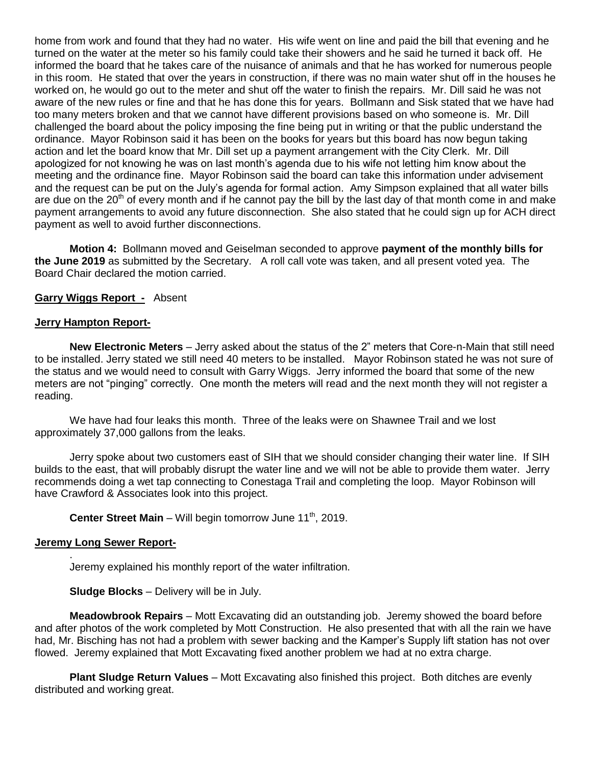home from work and found that they had no water. His wife went on line and paid the bill that evening and he turned on the water at the meter so his family could take their showers and he said he turned it back off. He informed the board that he takes care of the nuisance of animals and that he has worked for numerous people in this room. He stated that over the years in construction, if there was no main water shut off in the houses he worked on, he would go out to the meter and shut off the water to finish the repairs. Mr. Dill said he was not aware of the new rules or fine and that he has done this for years. Bollmann and Sisk stated that we have had too many meters broken and that we cannot have different provisions based on who someone is. Mr. Dill challenged the board about the policy imposing the fine being put in writing or that the public understand the ordinance. Mayor Robinson said it has been on the books for years but this board has now begun taking action and let the board know that Mr. Dill set up a payment arrangement with the City Clerk. Mr. Dill apologized for not knowing he was on last month's agenda due to his wife not letting him know about the meeting and the ordinance fine. Mayor Robinson said the board can take this information under advisement and the request can be put on the July's agenda for formal action. Amy Simpson explained that all water bills are due on the 20<sup>th</sup> of every month and if he cannot pay the bill by the last day of that month come in and make payment arrangements to avoid any future disconnection. She also stated that he could sign up for ACH direct payment as well to avoid further disconnections.

**Motion 4:** Bollmann moved and Geiselman seconded to approve **payment of the monthly bills for the June 2019** as submitted by the Secretary. A roll call vote was taken, and all present voted yea. The Board Chair declared the motion carried.

#### **Garry Wiggs Report -** Absent

#### **Jerry Hampton Report-**

**New Electronic Meters** – Jerry asked about the status of the 2" meters that Core-n-Main that still need to be installed. Jerry stated we still need 40 meters to be installed. Mayor Robinson stated he was not sure of the status and we would need to consult with Garry Wiggs. Jerry informed the board that some of the new meters are not "pinging" correctly. One month the meters will read and the next month they will not register a reading.

We have had four leaks this month. Three of the leaks were on Shawnee Trail and we lost approximately 37,000 gallons from the leaks.

Jerry spoke about two customers east of SIH that we should consider changing their water line. If SIH builds to the east, that will probably disrupt the water line and we will not be able to provide them water. Jerry recommends doing a wet tap connecting to Conestaga Trail and completing the loop. Mayor Robinson will have Crawford & Associates look into this project.

**Center Street Main** – Will begin tomorrow June 11<sup>th</sup>, 2019.

#### **Jeremy Long Sewer Report-**

.

Jeremy explained his monthly report of the water infiltration.

**Sludge Blocks** – Delivery will be in July.

**Meadowbrook Repairs** – Mott Excavating did an outstanding job. Jeremy showed the board before and after photos of the work completed by Mott Construction. He also presented that with all the rain we have had, Mr. Bisching has not had a problem with sewer backing and the Kamper's Supply lift station has not over flowed. Jeremy explained that Mott Excavating fixed another problem we had at no extra charge.

**Plant Sludge Return Values** – Mott Excavating also finished this project. Both ditches are evenly distributed and working great.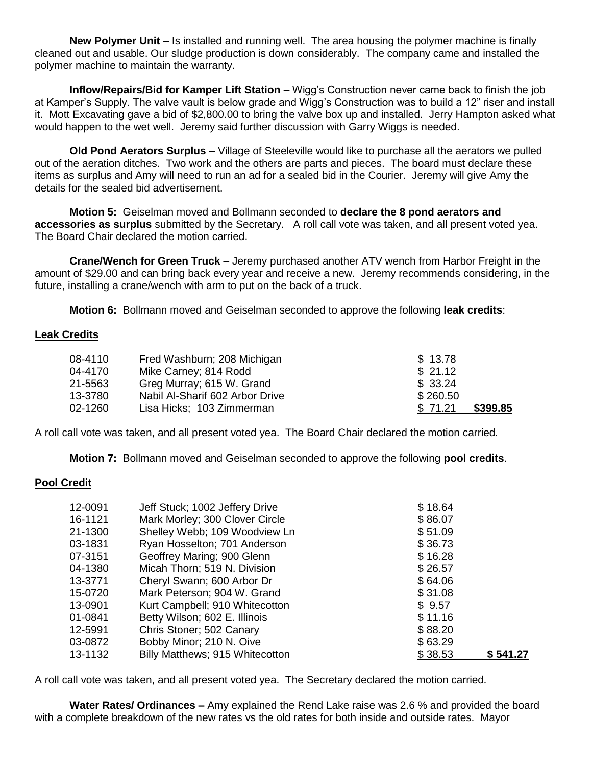**New Polymer Unit** – Is installed and running well. The area housing the polymer machine is finally cleaned out and usable. Our sludge production is down considerably. The company came and installed the polymer machine to maintain the warranty.

**Inflow/Repairs/Bid for Kamper Lift Station –** Wigg's Construction never came back to finish the job at Kamper's Supply. The valve vault is below grade and Wigg's Construction was to build a 12" riser and install it. Mott Excavating gave a bid of \$2,800.00 to bring the valve box up and installed. Jerry Hampton asked what would happen to the wet well. Jeremy said further discussion with Garry Wiggs is needed.

**Old Pond Aerators Surplus** – Village of Steeleville would like to purchase all the aerators we pulled out of the aeration ditches. Two work and the others are parts and pieces. The board must declare these items as surplus and Amy will need to run an ad for a sealed bid in the Courier. Jeremy will give Amy the details for the sealed bid advertisement.

**Motion 5:** Geiselman moved and Bollmann seconded to **declare the 8 pond aerators and accessories as surplus** submitted by the Secretary. A roll call vote was taken, and all present voted yea. The Board Chair declared the motion carried.

**Crane/Wench for Green Truck** – Jeremy purchased another ATV wench from Harbor Freight in the amount of \$29.00 and can bring back every year and receive a new. Jeremy recommends considering, in the future, installing a crane/wench with arm to put on the back of a truck.

**Motion 6:** Bollmann moved and Geiselman seconded to approve the following **leak credits**:

## **Leak Credits**

| 08-4110 | Fred Washburn; 208 Michigan     | \$13.78             |
|---------|---------------------------------|---------------------|
| 04-4170 | Mike Carney; 814 Rodd           | \$21.12             |
| 21-5563 | Greg Murray; 615 W. Grand       | \$33.24             |
| 13-3780 | Nabil Al-Sharif 602 Arbor Drive | \$260.50            |
| 02-1260 | Lisa Hicks; 103 Zimmerman       | \$399.85<br>\$71.21 |

A roll call vote was taken, and all present voted yea. The Board Chair declared the motion carried*.*

**Motion 7:** Bollmann moved and Geiselman seconded to approve the following **pool credits**.

#### **Pool Credit**

| 12-0091 | Jeff Stuck; 1002 Jeffery Drive  | \$18.64 |          |
|---------|---------------------------------|---------|----------|
| 16-1121 | Mark Morley; 300 Clover Circle  | \$86.07 |          |
| 21-1300 | Shelley Webb; 109 Woodview Ln   | \$51.09 |          |
| 03-1831 | Ryan Hosselton; 701 Anderson    | \$36.73 |          |
| 07-3151 | Geoffrey Maring; 900 Glenn      | \$16.28 |          |
| 04-1380 | Micah Thorn; 519 N. Division    | \$26.57 |          |
| 13-3771 | Cheryl Swann; 600 Arbor Dr      | \$64.06 |          |
| 15-0720 | Mark Peterson; 904 W. Grand     | \$31.08 |          |
| 13-0901 | Kurt Campbell; 910 Whitecotton  | \$9.57  |          |
| 01-0841 | Betty Wilson; 602 E. Illinois   | \$11.16 |          |
| 12-5991 | Chris Stoner; 502 Canary        | \$88.20 |          |
| 03-0872 | Bobby Minor; 210 N. Oive        | \$63.29 |          |
| 13-1132 | Billy Matthews; 915 Whitecotton | \$38.53 | \$541.27 |

A roll call vote was taken, and all present voted yea. The Secretary declared the motion carried*.*

**Water Rates/ Ordinances –** Amy explained the Rend Lake raise was 2.6 % and provided the board with a complete breakdown of the new rates vs the old rates for both inside and outside rates. Mayor